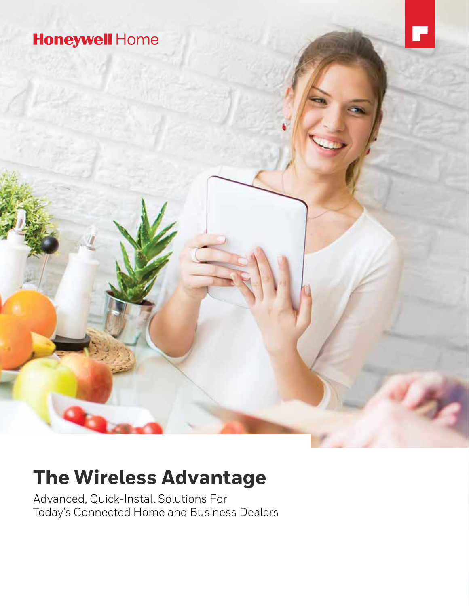

# **The Wireless Advantage**

Advanced, Quick-Install Solutions For Today's Connected Home and Business Dealers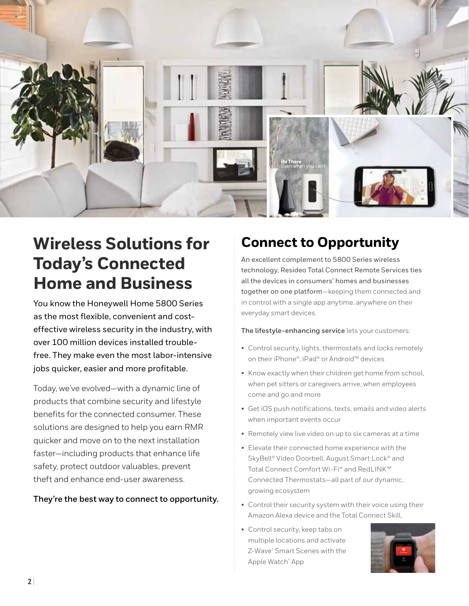

# **Wireless Solutions for Today's Connected Home and Business**

You know the Honeywell Home 5800 Series as the most flexible, convenient and costeffective wireless security in the industry, with over 100 million devices installed troublefree. They make even the most labor-intensive jobs quicker, easier and more profitable.

Today, we've evolved—with a dynamic line of products that combine security and lifestyle benefits for the connected consumer. These solutions are designed to help you earn RMR quicker and move on to the next installation faster—including products that enhance life safety, protect outdoor valuables, prevent theft and enhance end-user awareness.

#### **They're the best way to connect to opportunity.**

## **Connect to Opportunity**

An excellent complement to 5800 Series wireless technology, Resideo Total Connect Remote Services ties all the devices in consumers' homes and businesses together on one platform—keeping them connected and in control with a single app anytime, anywhere on their everyday smart devices.

**The lifestyle-enhancing service** lets your customers:

- Control security, lights, thermostats and locks remotely on their iPhone®, iPad® or Android™ devices
- Know exactly when their children get home from school, when pet sitters or caregivers arrive, when employees come and go and more
- Get iOS push notifications, texts, emails and video alerts when important events occur
- Remotely view live video on up to six cameras at a time
- Elevate their connected home experience with the SkyBell® Video Doorbell, August Smart Lock® and Total Connect Comfort Wi-Fi® and RedLINK™ Connected Thermostats—all part of our dynamic, growing ecosystem
- Control their security system with their voice using their Amazon Alexa device and the Total Connect Skill.
- Control security, keep tabs on multiple locations and activate Z-Wave® Smart Scenes with the Apple Watch® App

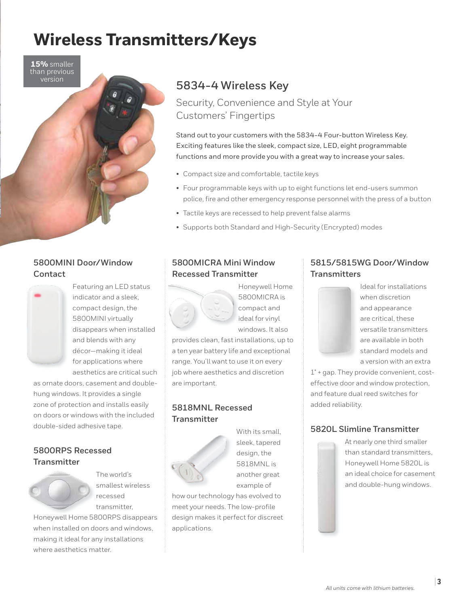# **Wireless Transmitters/Keys**

**15%** smaller than previous version



### **5800MINI Door/Window Contact**



Featuring an LED status indicator and a sleek, compact design, the 5800MINI virtually disappears when installed and blends with any décor—making it ideal for applications where aesthetics are critical such

as ornate doors, casement and doublehung windows. It provides a single zone of protection and installs easily on doors or windows with the included double-sided adhesive tape.

#### **5800RPS Recessed Transmitter**



The world's smallest wireless recessed transmitter,

Honeywell Home 5800RPS disappears when installed on doors and windows, making it ideal for any installations where aesthetics matter.

## **5834-4 Wireless Key**

Security, Convenience and Style at Your Customers' Fingertips

Stand out to your customers with the 5834-4 Four-button Wireless Key. Exciting features like the sleek, compact size, LED, eight programmable functions and more provide you with a great way to increase your sales.

- Compact size and comfortable, tactile keys
- Four programmable keys with up to eight functions let end-users summon police, fire and other emergency response personnel with the press of a button
- Tactile keys are recessed to help prevent false alarms
- Supports both Standard and High-Security (Encrypted) modes

#### **5800MICRA Mini Window Recessed Transmitter**



Honeywell Home 5800MICRA is compact and ideal for vinyl windows. It also

provides clean, fast installations, up to a ten year battery life and exceptional range. You'll want to use it on every job where aesthetics and discretion are important.

#### **5818MNL Recessed Transmitter**



With its small, sleek, tapered design, the 5818MNL is another great example of

how our technology has evolved to meet your needs. The low-profile design makes it perfect for discreet applications.

#### **5815/5815WG Door/Window Transmitters**



Ideal for installations when discretion and appearance are critical, these versatile transmitters are available in both standard models and a version with an extra

1" + gap. They provide convenient, costeffective door and window protection, and feature dual reed switches for added reliability.

#### **5820L Slimline Transmitter**

At nearly one third smaller than standard transmitters, Honeywell Home 5820L is an ideal choice for casement and double-hung windows.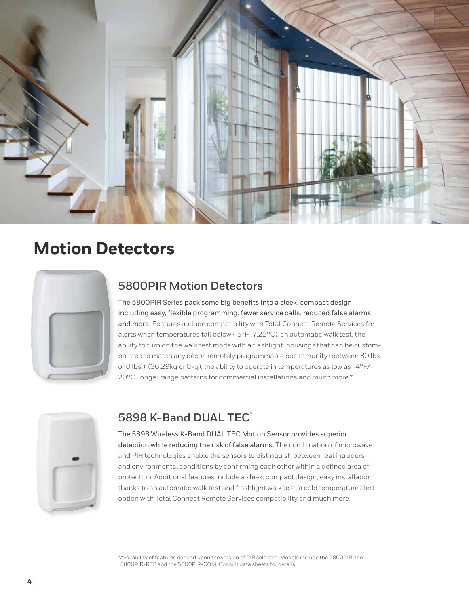

## **Motion Detectors**

## **5800PIR Motion Detectors**

The 5800PIR Series pack some big benefits into a sleek, compact design including easy, flexible programming, fewer service calls, reduced false alarms and more. Features include compatibility with Total Connect Remote Services for alerts when temperatures fall below 45°F (7.22°C), an automatic walk test, the ability to turn on the walk test mode with a flashlight, housings that can be custompainted to match any décor, remotely programmable pet immunity (between 80 lbs. or 0 lbs.), (36.29kg or 0kg), the ability to operate in temperatures as low as -4°F/- 20°C, longer range patterns for commercial installations and much more.\*



## **5898 K-Band DUAL TEC®**

The 5898 Wireless K-Band DUAL TEC Motion Sensor provides superior

detection while reducing the risk of false alarms. The combination of microwave and PIR technologies enable the sensors to distinguish between real intruders and environmental conditions by confirming each other within a defined area of protection. Additional features include a sleek, compact design, easy installation thanks to an automatic walk test and flashlight walk test, a cold temperature alert option with Total Connect Remote Services compatibility and much more.

\*Availability of features depend upon the version of PIR selected. Models include the 5800PIR, the 5800PIR-RES and the 5800PIR-COM. Consult data sheets for details.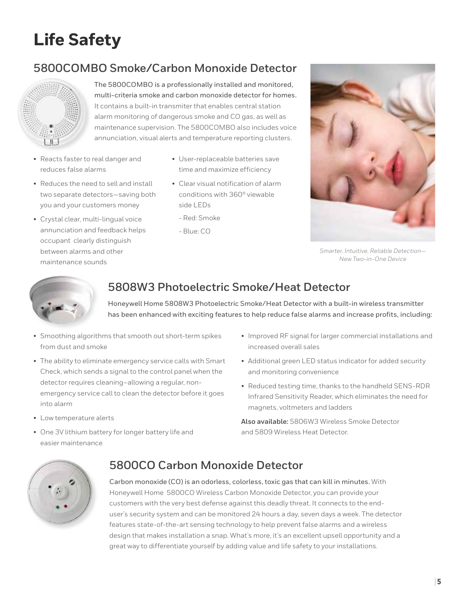# **Life Safety**

## **5800COMBO Smoke/Carbon Monoxide Detector**



The 5800COMBO is a professionally installed and monitored, multi-criteria smoke and carbon monoxide detector for homes. It contains a built-in transmiter that enables central station alarm monitoring of dangerous smoke and CO gas, as well as maintenance supervision. The 5800COMBO also includes voice annunciation, visual alerts and temperature reporting clusters.

- Reacts faster to real danger and reduces false alarms
- User-replaceable batteries save time and maximize efficiency
- Reduces the need to sell and install two separate detectors—saving both you and your customers money
- Crystal clear, multi-lingual voice annunciation and feedback helps occupant clearly distinguish between alarms and other maintenance sounds
- Clear visual notification of alarm conditions with 360º viewable side LEDs
	- Red: Smoke
	- Blue: CO



*Smarter, Intuitive, Reliable Detection— New Two-in-One Device*



## **5808W3 Photoelectric Smoke/Heat Detector**

Honeywell Home 5808W3 Photoelectric Smoke/Heat Detector with a built-in wireless transmitter has been enhanced with exciting features to help reduce false alarms and increase profits, including:

- Smoothing algorithms that smooth out short-term spikes from dust and smoke
- The ability to eliminate emergency service calls with Smart Check, which sends a signal to the control panel when the detector requires cleaning–allowing a regular, nonemergency service call to clean the detector before it goes into alarm
- Low temperature alerts
- One 3V lithium battery for longer battery life and easier maintenance
- Improved RF signal for larger commercial installations and increased overall sales
- Additional green LED status indicator for added security and monitoring convenience
- Reduced testing time, thanks to the handheld SENS-RDR Infrared Sensitivity Reader, which eliminates the need for magnets, voltmeters and ladders

**Also available:** 5806W3 Wireless Smoke Detector and 5809 Wireless Heat Detector.



## **5800CO Carbon Monoxide Detector**

Carbon monoxide (CO) is an odorless, colorless, toxic gas that can kill in minutes. With Honeywell Home 5800CO Wireless Carbon Monoxide Detector, you can provide your customers with the very best defense against this deadly threat. It connects to the enduser's security system and can be monitored 24 hours a day, seven days a week. The detector features state-of-the-art sensing technology to help prevent false alarms and a wireless design that makes installation a snap. What's more, it's an excellent upsell opportunity and a great way to differentiate yourself by adding value and life safety to your installations.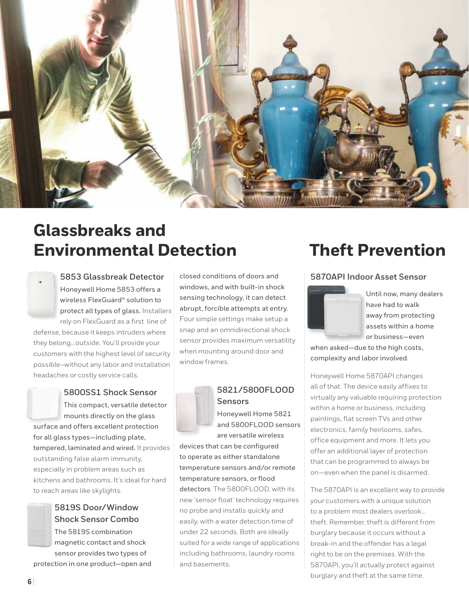

# **Glassbreaks and Environmental Detection Theft Prevention**



## Honeywell Home 5853 offers a wireless FlexGuard® solution to protect all types of glass. Installers rely on FlexGuard as a first line of

defense, because it keeps intruders where they belong…outside. You'll provide your customers with the highest level of security possible–without any labor and installation headaches or costly service calls.

## **5800SS1 Shock Sensor**

This compact, versatile detector mounts directly on the glass surface and offers excellent protection for all glass types—including plate, tempered, laminated and wired. It provides outstanding false alarm immunity, especially in problem areas such as kitchens and bathrooms. It's ideal for hard to reach areas like skylights.

#### **5819S Door/Window Shock Sensor Combo** The 5819S combination

magnetic contact and shock sensor provides two types of

protection in one product—open and

closed conditions of doors and windows, and with built-in shock sensing technology, it can detect abrupt, forcible attempts at entry. Four simple settings make setup a snap and an omnidirectional shock sensor provides maximum versatility when mounting around door and window frames.



#### **5821/5800FLOOD Sensors**

Honeywell Home 5821 and 5800FLOOD sensors are versatile wireless

devices that can be configured to operate as either standalone temperature sensors and/or remote temperature sensors, or flood detectors. The 5800FLOOD, with its new 'sensor float' technology requires no probe and installs quickly and easily, with a water detection time of under 22 seconds. Both are ideally suited for a wide range of applications including bathrooms, laundry rooms and basements.

#### **5853 Glassbreak Detector 5870API Indoor Asset Sensor**



Until now, many dealers have had to walk away from protecting assets within a home or business—even

when asked—due to the high costs, complexity and labor involved.

Honeywell Home 5870API changes all of that. The device easily affixes to virtually any valuable requiring protection within a home or business, including paintings, flat screen TVs and other electronics, family heirlooms, safes, office equipment and more. It lets you offer an additional layer of protection that can be programmed to always be on—even when the panel is disarmed.

The 5870API is an excellent way to provide your customers with a unique solution to a problem most dealers overlook… theft. Remember, theft is different from burglary because it occurs without a break-in and the offender has a legal right to be on the premises. With the 5870API, you'll actually protect against burglary and theft at the same time.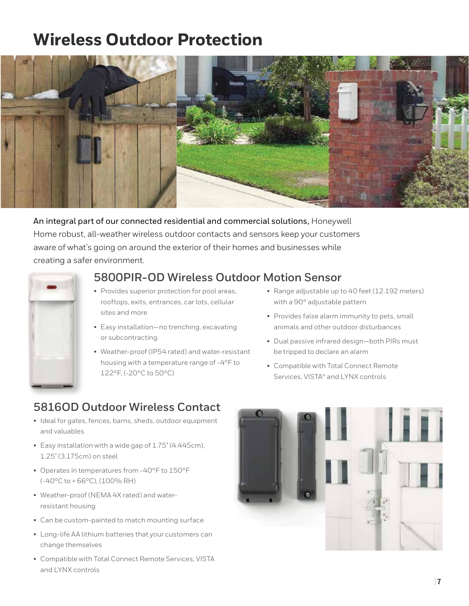# **Wireless Outdoor Protection**



An integral part of our connected residential and commercial solutions, Honeywell Home robust, all-weather wireless outdoor contacts and sensors keep your customers aware of what's going on around the exterior of their homes and businesses while creating a safer environment.



## **5800PIR-OD Wireless Outdoor Motion Sensor**

- Provides superior protection for pool areas, rooftops, exits, entrances, car lots, cellular sites and more
- Easy installation—no trenching, excavating or subcontracting
- Weather-proof (IP54 rated) and water-resistant housing with a temperature range of -4°F to 122°F, (-20°C to 50°C)
- Range adjustable up to 40 feet (12.192 meters) with a 90° adjustable pattern
- Provides false alarm immunity to pets, small animals and other outdoor disturbances
- Dual passive infrared design—both PIRs must be tripped to declare an alarm
- Compatible with Total Connect Remote Services, VISTA® and LYNX controls

## **5816OD Outdoor Wireless Contact**

- Ideal for gates, fences, barns, sheds, outdoor equipment and valuables
- Easy installation with a wide gap of 1.75" (4.445cm), 1.25" (3.175cm) on steel
- Operates in temperatures from -40°F to 150°F (-40°C to + 66°C), (100% RH)
- Weather-proof (NEMA 4X rated) and waterresistant housing
- Can be custom-painted to match mounting surface
- Long-life AA lithium batteries that your customers can change themselves
- Compatible with Total Connect Remote Services, VISTA and LYNX controls